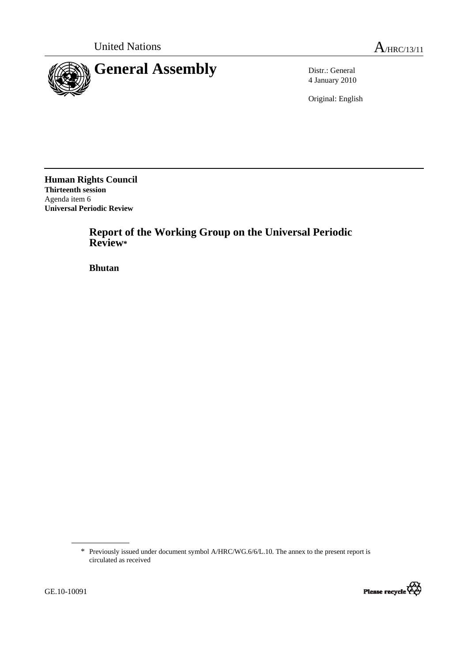

4 January 2010

Original: English

**Human Rights Council Thirteenth session**  Agenda item 6 **Universal Periodic Review** 

> **Report of the Working Group on the Universal Periodic Review\***

 **Bhutan** 

<sup>\*</sup> Previously issued under document symbol A/HRC/WG.6/6/L.10. The annex to the present report is circulated as received

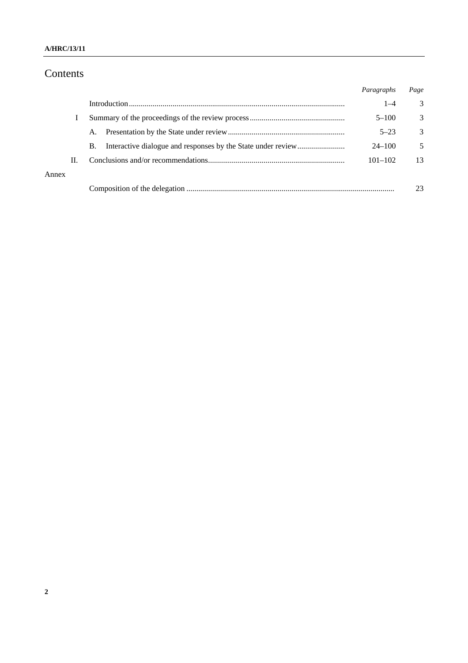### **A/HRC/13/11**

# Contents

|       |    |    | Paragraphs  | Page |
|-------|----|----|-------------|------|
|       |    |    | $1 - 4$     | 3    |
|       |    |    | $5 - 100$   | 3    |
|       |    | A. | $5 - 23$    | 3    |
|       |    | В. | $24 - 100$  | 5    |
|       | П. |    | $101 - 102$ | 13   |
| Annex |    |    |             |      |
|       |    |    |             | 23   |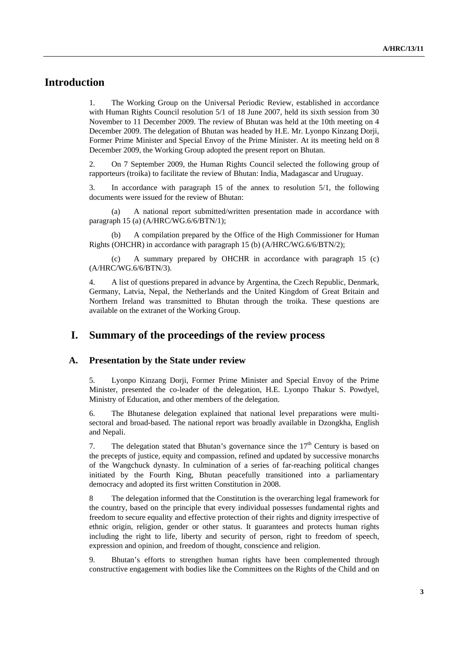# **Introduction**

1. The Working Group on the Universal Periodic Review, established in accordance with Human Rights Council resolution 5/1 of 18 June 2007, held its sixth session from 30 November to 11 December 2009. The review of Bhutan was held at the 10th meeting on 4 December 2009. The delegation of Bhutan was headed by H.E. Mr. Lyonpo Kinzang Dorji, Former Prime Minister and Special Envoy of the Prime Minister. At its meeting held on 8 December 2009, the Working Group adopted the present report on Bhutan.

2. On 7 September 2009, the Human Rights Council selected the following group of rapporteurs (troika) to facilitate the review of Bhutan: India, Madagascar and Uruguay.

3. In accordance with paragraph 15 of the annex to resolution 5/1, the following documents were issued for the review of Bhutan:

 (a) A national report submitted/written presentation made in accordance with paragraph 15 (a) (A/HRC/WG.6/6/BTN/1);

 (b) A compilation prepared by the Office of the High Commissioner for Human Rights (OHCHR) in accordance with paragraph 15 (b) (A/HRC/WG.6/6/BTN/2);

 (c) A summary prepared by OHCHR in accordance with paragraph 15 (c) (A/HRC/WG.6/6/BTN/3).

4. A list of questions prepared in advance by Argentina, the Czech Republic, Denmark, Germany, Latvia, Nepal, the Netherlands and the United Kingdom of Great Britain and Northern Ireland was transmitted to Bhutan through the troika. These questions are available on the extranet of the Working Group.

## **I. Summary of the proceedings of the review process**

#### **A. Presentation by the State under review**

5. Lyonpo Kinzang Dorji, Former Prime Minister and Special Envoy of the Prime Minister, presented the co-leader of the delegation, H.E. Lyonpo Thakur S. Powdyel, Ministry of Education, and other members of the delegation.

6. The Bhutanese delegation explained that national level preparations were multisectoral and broad-based. The national report was broadly available in Dzongkha, English and Nepali.

7. The delegation stated that Bhutan's governance since the  $17<sup>th</sup>$  Century is based on the precepts of justice, equity and compassion, refined and updated by successive monarchs of the Wangchuck dynasty. In culmination of a series of far-reaching political changes initiated by the Fourth King, Bhutan peacefully transitioned into a parliamentary democracy and adopted its first written Constitution in 2008.

8 The delegation informed that the Constitution is the overarching legal framework for the country, based on the principle that every individual possesses fundamental rights and freedom to secure equality and effective protection of their rights and dignity irrespective of ethnic origin, religion, gender or other status. It guarantees and protects human rights including the right to life, liberty and security of person, right to freedom of speech, expression and opinion, and freedom of thought, conscience and religion.

9. Bhutan's efforts to strengthen human rights have been complemented through constructive engagement with bodies like the Committees on the Rights of the Child and on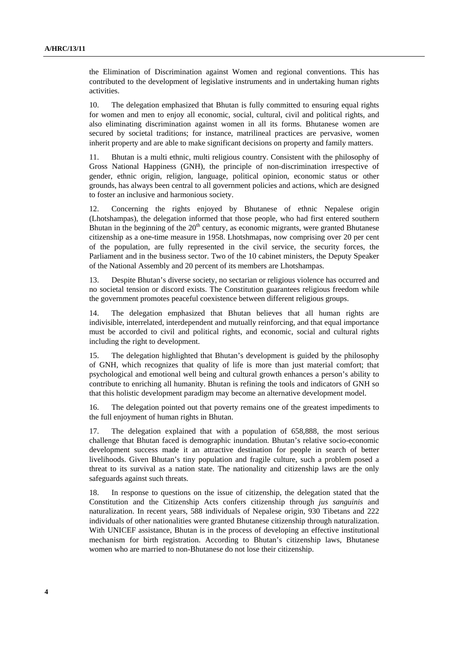the Elimination of Discrimination against Women and regional conventions. This has contributed to the development of legislative instruments and in undertaking human rights activities.

10. The delegation emphasized that Bhutan is fully committed to ensuring equal rights for women and men to enjoy all economic, social, cultural, civil and political rights, and also eliminating discrimination against women in all its forms. Bhutanese women are secured by societal traditions; for instance, matrilineal practices are pervasive, women inherit property and are able to make significant decisions on property and family matters.

11. Bhutan is a multi ethnic, multi religious country. Consistent with the philosophy of Gross National Happiness (GNH), the principle of non-discrimination irrespective of gender, ethnic origin, religion, language, political opinion, economic status or other grounds, has always been central to all government policies and actions, which are designed to foster an inclusive and harmonious society.

12. Concerning the rights enjoyed by Bhutanese of ethnic Nepalese origin (Lhotshampas), the delegation informed that those people, who had first entered southern Bhutan in the beginning of the  $20<sup>th</sup>$  century, as economic migrants, were granted Bhutanese citizenship as a one-time measure in 1958. Lhotshmapas, now comprising over 20 per cent of the population, are fully represented in the civil service, the security forces, the Parliament and in the business sector. Two of the 10 cabinet ministers, the Deputy Speaker of the National Assembly and 20 percent of its members are Lhotshampas.

13. Despite Bhutan's diverse society, no sectarian or religious violence has occurred and no societal tension or discord exists. The Constitution guarantees religious freedom while the government promotes peaceful coexistence between different religious groups.

14. The delegation emphasized that Bhutan believes that all human rights are indivisible, interrelated, interdependent and mutually reinforcing, and that equal importance must be accorded to civil and political rights, and economic, social and cultural rights including the right to development.

15. The delegation highlighted that Bhutan's development is guided by the philosophy of GNH, which recognizes that quality of life is more than just material comfort; that psychological and emotional well being and cultural growth enhances a person's ability to contribute to enriching all humanity. Bhutan is refining the tools and indicators of GNH so that this holistic development paradigm may become an alternative development model.

16. The delegation pointed out that poverty remains one of the greatest impediments to the full enjoyment of human rights in Bhutan.

17. The delegation explained that with a population of 658,888, the most serious challenge that Bhutan faced is demographic inundation. Bhutan's relative socio-economic development success made it an attractive destination for people in search of better livelihoods. Given Bhutan's tiny population and fragile culture, such a problem posed a threat to its survival as a nation state. The nationality and citizenship laws are the only safeguards against such threats.

18. In response to questions on the issue of citizenship, the delegation stated that the Constitution and the Citizenship Acts confers citizenship through *jus sanguinis* and naturalization. In recent years, 588 individuals of Nepalese origin, 930 Tibetans and 222 individuals of other nationalities were granted Bhutanese citizenship through naturalization. With UNICEF assistance, Bhutan is in the process of developing an effective institutional mechanism for birth registration. According to Bhutan's citizenship laws, Bhutanese women who are married to non-Bhutanese do not lose their citizenship.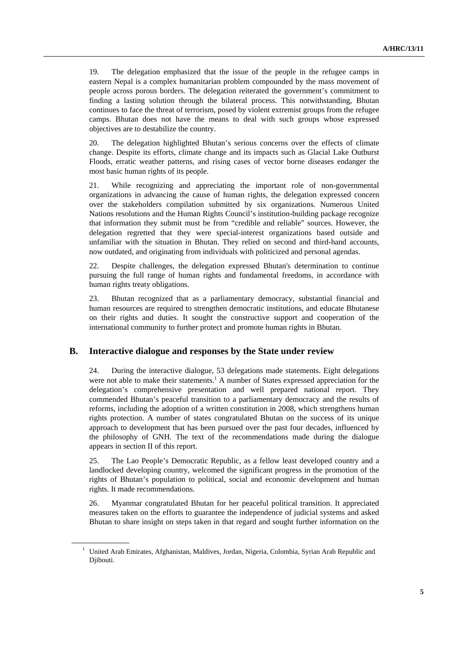19. The delegation emphasized that the issue of the people in the refugee camps in eastern Nepal is a complex humanitarian problem compounded by the mass movement of people across porous borders. The delegation reiterated the government's commitment to finding a lasting solution through the bilateral process. This notwithstanding, Bhutan continues to face the threat of terrorism, posed by violent extremist groups from the refugee camps. Bhutan does not have the means to deal with such groups whose expressed objectives are to destabilize the country.

20. The delegation highlighted Bhutan's serious concerns over the effects of climate change. Despite its efforts, climate change and its impacts such as Glacial Lake Outburst Floods, erratic weather patterns, and rising cases of vector borne diseases endanger the most basic human rights of its people.

21. While recognizing and appreciating the important role of non-governmental organizations in advancing the cause of human rights, the delegation expressed concern over the stakeholders compilation submitted by six organizations. Numerous United Nations resolutions and the Human Rights Council's institution-building package recognize that information they submit must be from "credible and reliable" sources. However, the delegation regretted that they were special-interest organizations based outside and unfamiliar with the situation in Bhutan. They relied on second and third-hand accounts, now outdated, and originating from individuals with politicized and personal agendas.

22. Despite challenges, the delegation expressed Bhutan's determination to continue pursuing the full range of human rights and fundamental freedoms, in accordance with human rights treaty obligations.

23. Bhutan recognized that as a parliamentary democracy, substantial financial and human resources are required to strengthen democratic institutions, and educate Bhutanese on their rights and duties. It sought the constructive support and cooperation of the international community to further protect and promote human rights in Bhutan.

#### **B. Interactive dialogue and responses by the State under review**

24. During the interactive dialogue, 53 delegations made statements. Eight delegations were not able to make their statements.<sup>1</sup> A number of States expressed appreciation for the delegation's comprehensive presentation and well prepared national report. They commended Bhutan's peaceful transition to a parliamentary democracy and the results of reforms, including the adoption of a written constitution in 2008, which strengthens human rights protection. A number of states congratulated Bhutan on the success of its unique approach to development that has been pursued over the past four decades, influenced by the philosophy of GNH. The text of the recommendations made during the dialogue appears in section II of this report.

25. The Lao People's Democratic Republic, as a fellow least developed country and a landlocked developing country, welcomed the significant progress in the promotion of the rights of Bhutan's population to political, social and economic development and human rights. It made recommendations.

26. Myanmar congratulated Bhutan for her peaceful political transition. It appreciated measures taken on the efforts to guarantee the independence of judicial systems and asked Bhutan to share insight on steps taken in that regard and sought further information on the

<sup>&</sup>lt;sup>1</sup> United Arab Emirates, Afghanistan, Maldives, Jordan, Nigeria, Colombia, Syrian Arab Republic and Djibouti.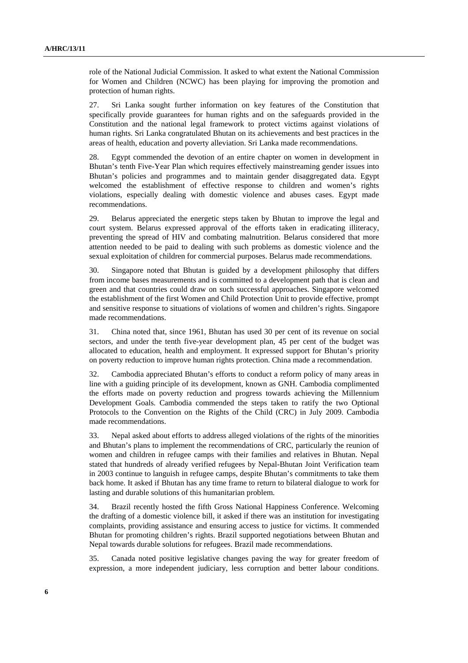role of the National Judicial Commission. It asked to what extent the National Commission for Women and Children (NCWC) has been playing for improving the promotion and protection of human rights.

27. Sri Lanka sought further information on key features of the Constitution that specifically provide guarantees for human rights and on the safeguards provided in the Constitution and the national legal framework to protect victims against violations of human rights. Sri Lanka congratulated Bhutan on its achievements and best practices in the areas of health, education and poverty alleviation. Sri Lanka made recommendations.

28. Egypt commended the devotion of an entire chapter on women in development in Bhutan's tenth Five-Year Plan which requires effectively mainstreaming gender issues into Bhutan's policies and programmes and to maintain gender disaggregated data. Egypt welcomed the establishment of effective response to children and women's rights violations, especially dealing with domestic violence and abuses cases. Egypt made recommendations.

29. Belarus appreciated the energetic steps taken by Bhutan to improve the legal and court system. Belarus expressed approval of the efforts taken in eradicating illiteracy, preventing the spread of HIV and combating malnutrition. Belarus considered that more attention needed to be paid to dealing with such problems as domestic violence and the sexual exploitation of children for commercial purposes. Belarus made recommendations.

30. Singapore noted that Bhutan is guided by a development philosophy that differs from income bases measurements and is committed to a development path that is clean and green and that countries could draw on such successful approaches. Singapore welcomed the establishment of the first Women and Child Protection Unit to provide effective, prompt and sensitive response to situations of violations of women and children's rights. Singapore made recommendations.

31. China noted that, since 1961, Bhutan has used 30 per cent of its revenue on social sectors, and under the tenth five-year development plan, 45 per cent of the budget was allocated to education, health and employment. It expressed support for Bhutan's priority on poverty reduction to improve human rights protection. China made a recommendation.

32. Cambodia appreciated Bhutan's efforts to conduct a reform policy of many areas in line with a guiding principle of its development, known as GNH. Cambodia complimented the efforts made on poverty reduction and progress towards achieving the Millennium Development Goals. Cambodia commended the steps taken to ratify the two Optional Protocols to the Convention on the Rights of the Child (CRC) in July 2009. Cambodia made recommendations.

33. Nepal asked about efforts to address alleged violations of the rights of the minorities and Bhutan's plans to implement the recommendations of CRC, particularly the reunion of women and children in refugee camps with their families and relatives in Bhutan. Nepal stated that hundreds of already verified refugees by Nepal-Bhutan Joint Verification team in 2003 continue to languish in refugee camps, despite Bhutan's commitments to take them back home. It asked if Bhutan has any time frame to return to bilateral dialogue to work for lasting and durable solutions of this humanitarian problem.

34. Brazil recently hosted the fifth Gross National Happiness Conference. Welcoming the drafting of a domestic violence bill, it asked if there was an institution for investigating complaints, providing assistance and ensuring access to justice for victims. It commended Bhutan for promoting children's rights. Brazil supported negotiations between Bhutan and Nepal towards durable solutions for refugees. Brazil made recommendations.

35. Canada noted positive legislative changes paving the way for greater freedom of expression, a more independent judiciary, less corruption and better labour conditions.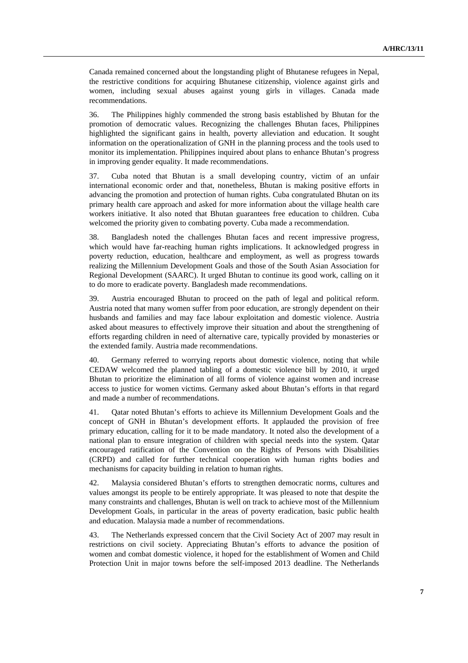Canada remained concerned about the longstanding plight of Bhutanese refugees in Nepal, the restrictive conditions for acquiring Bhutanese citizenship, violence against girls and women, including sexual abuses against young girls in villages. Canada made recommendations.

36. The Philippines highly commended the strong basis established by Bhutan for the promotion of democratic values. Recognizing the challenges Bhutan faces, Philippines highlighted the significant gains in health, poverty alleviation and education. It sought information on the operationalization of GNH in the planning process and the tools used to monitor its implementation. Philippines inquired about plans to enhance Bhutan's progress in improving gender equality. It made recommendations.

37. Cuba noted that Bhutan is a small developing country, victim of an unfair international economic order and that, nonetheless, Bhutan is making positive efforts in advancing the promotion and protection of human rights. Cuba congratulated Bhutan on its primary health care approach and asked for more information about the village health care workers initiative. It also noted that Bhutan guarantees free education to children. Cuba welcomed the priority given to combating poverty. Cuba made a recommendation.

38. Bangladesh noted the challenges Bhutan faces and recent impressive progress, which would have far-reaching human rights implications. It acknowledged progress in poverty reduction, education, healthcare and employment, as well as progress towards realizing the Millennium Development Goals and those of the South Asian Association for Regional Development (SAARC). It urged Bhutan to continue its good work, calling on it to do more to eradicate poverty. Bangladesh made recommendations.

39. Austria encouraged Bhutan to proceed on the path of legal and political reform. Austria noted that many women suffer from poor education, are strongly dependent on their husbands and families and may face labour exploitation and domestic violence. Austria asked about measures to effectively improve their situation and about the strengthening of efforts regarding children in need of alternative care, typically provided by monasteries or the extended family. Austria made recommendations.

40. Germany referred to worrying reports about domestic violence, noting that while CEDAW welcomed the planned tabling of a domestic violence bill by 2010, it urged Bhutan to prioritize the elimination of all forms of violence against women and increase access to justice for women victims. Germany asked about Bhutan's efforts in that regard and made a number of recommendations.

41. Qatar noted Bhutan's efforts to achieve its Millennium Development Goals and the concept of GNH in Bhutan's development efforts. It applauded the provision of free primary education, calling for it to be made mandatory. It noted also the development of a national plan to ensure integration of children with special needs into the system. Qatar encouraged ratification of the Convention on the Rights of Persons with Disabilities (CRPD) and called for further technical cooperation with human rights bodies and mechanisms for capacity building in relation to human rights.

42. Malaysia considered Bhutan's efforts to strengthen democratic norms, cultures and values amongst its people to be entirely appropriate. It was pleased to note that despite the many constraints and challenges, Bhutan is well on track to achieve most of the Millennium Development Goals, in particular in the areas of poverty eradication, basic public health and education. Malaysia made a number of recommendations.

43. The Netherlands expressed concern that the Civil Society Act of 2007 may result in restrictions on civil society. Appreciating Bhutan's efforts to advance the position of women and combat domestic violence, it hoped for the establishment of Women and Child Protection Unit in major towns before the self-imposed 2013 deadline. The Netherlands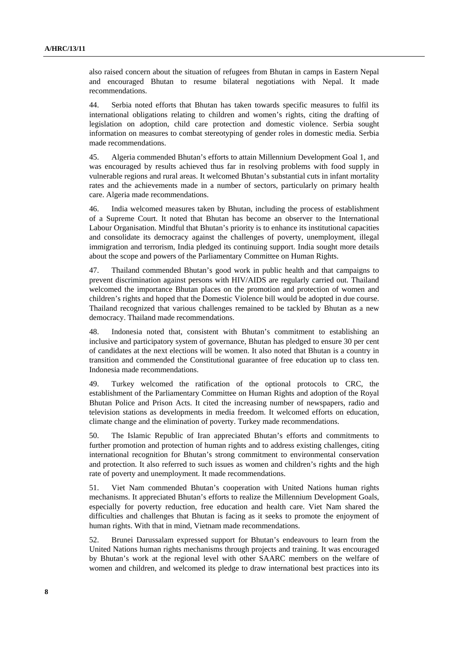also raised concern about the situation of refugees from Bhutan in camps in Eastern Nepal and encouraged Bhutan to resume bilateral negotiations with Nepal. It made recommendations.

44. Serbia noted efforts that Bhutan has taken towards specific measures to fulfil its international obligations relating to children and women's rights, citing the drafting of legislation on adoption, child care protection and domestic violence. Serbia sought information on measures to combat stereotyping of gender roles in domestic media. Serbia made recommendations.

45. Algeria commended Bhutan's efforts to attain Millennium Development Goal 1, and was encouraged by results achieved thus far in resolving problems with food supply in vulnerable regions and rural areas. It welcomed Bhutan's substantial cuts in infant mortality rates and the achievements made in a number of sectors, particularly on primary health care. Algeria made recommendations.

46. India welcomed measures taken by Bhutan, including the process of establishment of a Supreme Court. It noted that Bhutan has become an observer to the International Labour Organisation. Mindful that Bhutan's priority is to enhance its institutional capacities and consolidate its democracy against the challenges of poverty, unemployment, illegal immigration and terrorism, India pledged its continuing support. India sought more details about the scope and powers of the Parliamentary Committee on Human Rights.

47. Thailand commended Bhutan's good work in public health and that campaigns to prevent discrimination against persons with HIV/AIDS are regularly carried out. Thailand welcomed the importance Bhutan places on the promotion and protection of women and children's rights and hoped that the Domestic Violence bill would be adopted in due course. Thailand recognized that various challenges remained to be tackled by Bhutan as a new democracy. Thailand made recommendations.

48. Indonesia noted that, consistent with Bhutan's commitment to establishing an inclusive and participatory system of governance, Bhutan has pledged to ensure 30 per cent of candidates at the next elections will be women. It also noted that Bhutan is a country in transition and commended the Constitutional guarantee of free education up to class ten. Indonesia made recommendations.

49. Turkey welcomed the ratification of the optional protocols to CRC, the establishment of the Parliamentary Committee on Human Rights and adoption of the Royal Bhutan Police and Prison Acts. It cited the increasing number of newspapers, radio and television stations as developments in media freedom. It welcomed efforts on education, climate change and the elimination of poverty. Turkey made recommendations.

50. The Islamic Republic of Iran appreciated Bhutan's efforts and commitments to further promotion and protection of human rights and to address existing challenges, citing international recognition for Bhutan's strong commitment to environmental conservation and protection. It also referred to such issues as women and children's rights and the high rate of poverty and unemployment. It made recommendations.

51. Viet Nam commended Bhutan's cooperation with United Nations human rights mechanisms. It appreciated Bhutan's efforts to realize the Millennium Development Goals, especially for poverty reduction, free education and health care. Viet Nam shared the difficulties and challenges that Bhutan is facing as it seeks to promote the enjoyment of human rights. With that in mind, Vietnam made recommendations.

52. Brunei Darussalam expressed support for Bhutan's endeavours to learn from the United Nations human rights mechanisms through projects and training. It was encouraged by Bhutan's work at the regional level with other SAARC members on the welfare of women and children, and welcomed its pledge to draw international best practices into its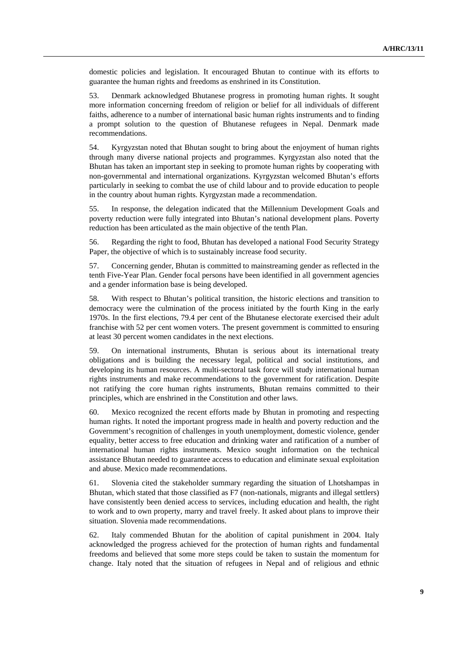domestic policies and legislation. It encouraged Bhutan to continue with its efforts to guarantee the human rights and freedoms as enshrined in its Constitution.

53. Denmark acknowledged Bhutanese progress in promoting human rights. It sought more information concerning freedom of religion or belief for all individuals of different faiths, adherence to a number of international basic human rights instruments and to finding a prompt solution to the question of Bhutanese refugees in Nepal. Denmark made recommendations.

54. Kyrgyzstan noted that Bhutan sought to bring about the enjoyment of human rights through many diverse national projects and programmes. Kyrgyzstan also noted that the Bhutan has taken an important step in seeking to promote human rights by cooperating with non-governmental and international organizations. Kyrgyzstan welcomed Bhutan's efforts particularly in seeking to combat the use of child labour and to provide education to people in the country about human rights. Kyrgyzstan made a recommendation.

55. In response, the delegation indicated that the Millennium Development Goals and poverty reduction were fully integrated into Bhutan's national development plans. Poverty reduction has been articulated as the main objective of the tenth Plan.

56. Regarding the right to food, Bhutan has developed a national Food Security Strategy Paper, the objective of which is to sustainably increase food security.

57. Concerning gender, Bhutan is committed to mainstreaming gender as reflected in the tenth Five-Year Plan. Gender focal persons have been identified in all government agencies and a gender information base is being developed.

58. With respect to Bhutan's political transition, the historic elections and transition to democracy were the culmination of the process initiated by the fourth King in the early 1970s. In the first elections, 79.4 per cent of the Bhutanese electorate exercised their adult franchise with 52 per cent women voters. The present government is committed to ensuring at least 30 percent women candidates in the next elections.

59. On international instruments, Bhutan is serious about its international treaty obligations and is building the necessary legal, political and social institutions, and developing its human resources. A multi-sectoral task force will study international human rights instruments and make recommendations to the government for ratification. Despite not ratifying the core human rights instruments, Bhutan remains committed to their principles, which are enshrined in the Constitution and other laws.

60. Mexico recognized the recent efforts made by Bhutan in promoting and respecting human rights. It noted the important progress made in health and poverty reduction and the Government's recognition of challenges in youth unemployment, domestic violence, gender equality, better access to free education and drinking water and ratification of a number of international human rights instruments. Mexico sought information on the technical assistance Bhutan needed to guarantee access to education and eliminate sexual exploitation and abuse. Mexico made recommendations.

61. Slovenia cited the stakeholder summary regarding the situation of Lhotshampas in Bhutan, which stated that those classified as F7 (non-nationals, migrants and illegal settlers) have consistently been denied access to services, including education and health, the right to work and to own property, marry and travel freely. It asked about plans to improve their situation. Slovenia made recommendations.

62. Italy commended Bhutan for the abolition of capital punishment in 2004. Italy acknowledged the progress achieved for the protection of human rights and fundamental freedoms and believed that some more steps could be taken to sustain the momentum for change. Italy noted that the situation of refugees in Nepal and of religious and ethnic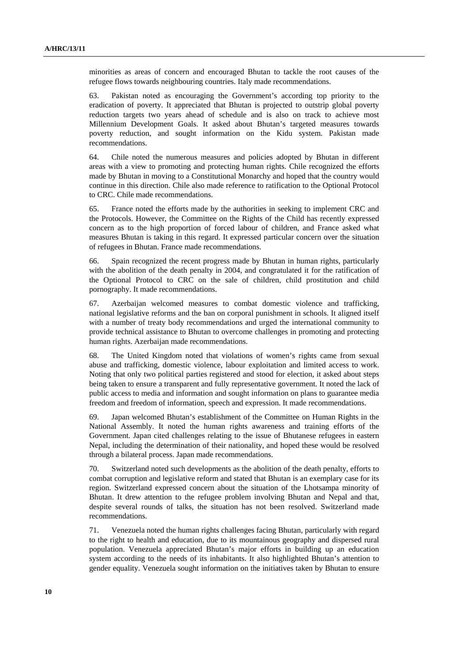minorities as areas of concern and encouraged Bhutan to tackle the root causes of the refugee flows towards neighbouring countries. Italy made recommendations.

63. Pakistan noted as encouraging the Government's according top priority to the eradication of poverty. It appreciated that Bhutan is projected to outstrip global poverty reduction targets two years ahead of schedule and is also on track to achieve most Millennium Development Goals. It asked about Bhutan's targeted measures towards poverty reduction, and sought information on the Kidu system. Pakistan made recommendations.

64. Chile noted the numerous measures and policies adopted by Bhutan in different areas with a view to promoting and protecting human rights. Chile recognized the efforts made by Bhutan in moving to a Constitutional Monarchy and hoped that the country would continue in this direction. Chile also made reference to ratification to the Optional Protocol to CRC. Chile made recommendations.

65. France noted the efforts made by the authorities in seeking to implement CRC and the Protocols. However, the Committee on the Rights of the Child has recently expressed concern as to the high proportion of forced labour of children, and France asked what measures Bhutan is taking in this regard. It expressed particular concern over the situation of refugees in Bhutan. France made recommendations.

66. Spain recognized the recent progress made by Bhutan in human rights, particularly with the abolition of the death penalty in 2004, and congratulated it for the ratification of the Optional Protocol to CRC on the sale of children, child prostitution and child pornography. It made recommendations.

67. Azerbaijan welcomed measures to combat domestic violence and trafficking, national legislative reforms and the ban on corporal punishment in schools. It aligned itself with a number of treaty body recommendations and urged the international community to provide technical assistance to Bhutan to overcome challenges in promoting and protecting human rights. Azerbaijan made recommendations.

68. The United Kingdom noted that violations of women's rights came from sexual abuse and trafficking, domestic violence, labour exploitation and limited access to work. Noting that only two political parties registered and stood for election, it asked about steps being taken to ensure a transparent and fully representative government. It noted the lack of public access to media and information and sought information on plans to guarantee media freedom and freedom of information, speech and expression. It made recommendations.

69. Japan welcomed Bhutan's establishment of the Committee on Human Rights in the National Assembly. It noted the human rights awareness and training efforts of the Government. Japan cited challenges relating to the issue of Bhutanese refugees in eastern Nepal, including the determination of their nationality, and hoped these would be resolved through a bilateral process. Japan made recommendations.

70. Switzerland noted such developments as the abolition of the death penalty, efforts to combat corruption and legislative reform and stated that Bhutan is an exemplary case for its region. Switzerland expressed concern about the situation of the Lhotsampa minority of Bhutan. It drew attention to the refugee problem involving Bhutan and Nepal and that, despite several rounds of talks, the situation has not been resolved. Switzerland made recommendations.

71. Venezuela noted the human rights challenges facing Bhutan, particularly with regard to the right to health and education, due to its mountainous geography and dispersed rural population. Venezuela appreciated Bhutan's major efforts in building up an education system according to the needs of its inhabitants. It also highlighted Bhutan's attention to gender equality. Venezuela sought information on the initiatives taken by Bhutan to ensure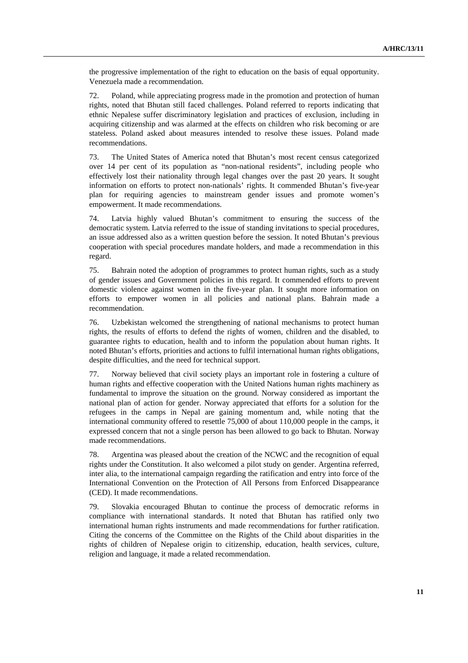the progressive implementation of the right to education on the basis of equal opportunity. Venezuela made a recommendation.

72. Poland, while appreciating progress made in the promotion and protection of human rights, noted that Bhutan still faced challenges. Poland referred to reports indicating that ethnic Nepalese suffer discriminatory legislation and practices of exclusion, including in acquiring citizenship and was alarmed at the effects on children who risk becoming or are stateless. Poland asked about measures intended to resolve these issues. Poland made recommendations.

73. The United States of America noted that Bhutan's most recent census categorized over 14 per cent of its population as "non-national residents", including people who effectively lost their nationality through legal changes over the past 20 years. It sought information on efforts to protect non-nationals' rights. It commended Bhutan's five-year plan for requiring agencies to mainstream gender issues and promote women's empowerment. It made recommendations.

74. Latvia highly valued Bhutan's commitment to ensuring the success of the democratic system. Latvia referred to the issue of standing invitations to special procedures, an issue addressed also as a written question before the session. It noted Bhutan's previous cooperation with special procedures mandate holders, and made a recommendation in this regard.

75. Bahrain noted the adoption of programmes to protect human rights, such as a study of gender issues and Government policies in this regard. It commended efforts to prevent domestic violence against women in the five-year plan. It sought more information on efforts to empower women in all policies and national plans. Bahrain made a recommendation.

76. Uzbekistan welcomed the strengthening of national mechanisms to protect human rights, the results of efforts to defend the rights of women, children and the disabled, to guarantee rights to education, health and to inform the population about human rights. It noted Bhutan's efforts, priorities and actions to fulfil international human rights obligations, despite difficulties, and the need for technical support.

77. Norway believed that civil society plays an important role in fostering a culture of human rights and effective cooperation with the United Nations human rights machinery as fundamental to improve the situation on the ground. Norway considered as important the national plan of action for gender. Norway appreciated that efforts for a solution for the refugees in the camps in Nepal are gaining momentum and, while noting that the international community offered to resettle 75,000 of about 110,000 people in the camps, it expressed concern that not a single person has been allowed to go back to Bhutan. Norway made recommendations.

78. Argentina was pleased about the creation of the NCWC and the recognition of equal rights under the Constitution. It also welcomed a pilot study on gender. Argentina referred, inter alia, to the international campaign regarding the ratification and entry into force of the International Convention on the Protection of All Persons from Enforced Disappearance (CED). It made recommendations.

79. Slovakia encouraged Bhutan to continue the process of democratic reforms in compliance with international standards. It noted that Bhutan has ratified only two international human rights instruments and made recommendations for further ratification. Citing the concerns of the Committee on the Rights of the Child about disparities in the rights of children of Nepalese origin to citizenship, education, health services, culture, religion and language, it made a related recommendation.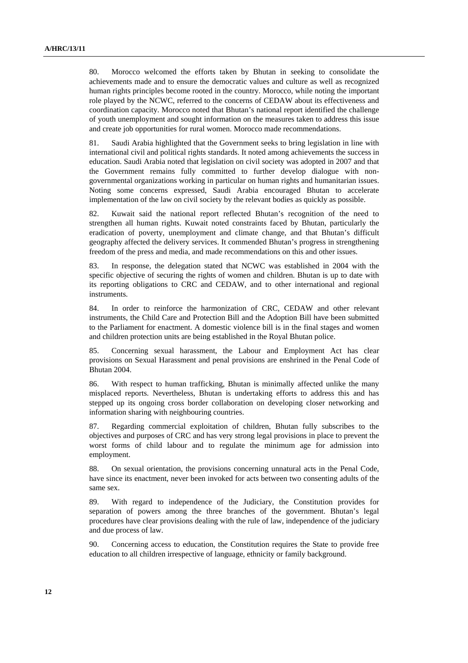80. Morocco welcomed the efforts taken by Bhutan in seeking to consolidate the achievements made and to ensure the democratic values and culture as well as recognized human rights principles become rooted in the country. Morocco, while noting the important role played by the NCWC, referred to the concerns of CEDAW about its effectiveness and coordination capacity. Morocco noted that Bhutan's national report identified the challenge of youth unemployment and sought information on the measures taken to address this issue and create job opportunities for rural women. Morocco made recommendations.

81. Saudi Arabia highlighted that the Government seeks to bring legislation in line with international civil and political rights standards. It noted among achievements the success in education. Saudi Arabia noted that legislation on civil society was adopted in 2007 and that the Government remains fully committed to further develop dialogue with nongovernmental organizations working in particular on human rights and humanitarian issues. Noting some concerns expressed, Saudi Arabia encouraged Bhutan to accelerate implementation of the law on civil society by the relevant bodies as quickly as possible.

82. Kuwait said the national report reflected Bhutan's recognition of the need to strengthen all human rights. Kuwait noted constraints faced by Bhutan, particularly the eradication of poverty, unemployment and climate change, and that Bhutan's difficult geography affected the delivery services. It commended Bhutan's progress in strengthening freedom of the press and media, and made recommendations on this and other issues.

83. In response, the delegation stated that NCWC was established in 2004 with the specific objective of securing the rights of women and children. Bhutan is up to date with its reporting obligations to CRC and CEDAW, and to other international and regional instruments.

84. In order to reinforce the harmonization of CRC, CEDAW and other relevant instruments, the Child Care and Protection Bill and the Adoption Bill have been submitted to the Parliament for enactment. A domestic violence bill is in the final stages and women and children protection units are being established in the Royal Bhutan police.

85. Concerning sexual harassment, the Labour and Employment Act has clear provisions on Sexual Harassment and penal provisions are enshrined in the Penal Code of Bhutan 2004.

86. With respect to human trafficking, Bhutan is minimally affected unlike the many misplaced reports. Nevertheless, Bhutan is undertaking efforts to address this and has stepped up its ongoing cross border collaboration on developing closer networking and information sharing with neighbouring countries.

87. Regarding commercial exploitation of children, Bhutan fully subscribes to the objectives and purposes of CRC and has very strong legal provisions in place to prevent the worst forms of child labour and to regulate the minimum age for admission into employment.

88. On sexual orientation, the provisions concerning unnatural acts in the Penal Code, have since its enactment, never been invoked for acts between two consenting adults of the same sex.

89. With regard to independence of the Judiciary, the Constitution provides for separation of powers among the three branches of the government. Bhutan's legal procedures have clear provisions dealing with the rule of law, independence of the judiciary and due process of law.

90. Concerning access to education, the Constitution requires the State to provide free education to all children irrespective of language, ethnicity or family background.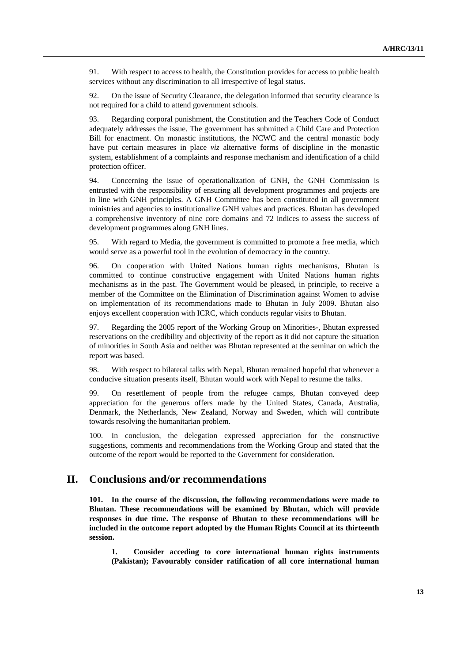91. With respect to access to health, the Constitution provides for access to public health services without any discrimination to all irrespective of legal status.

92. On the issue of Security Clearance, the delegation informed that security clearance is not required for a child to attend government schools.

93. Regarding corporal punishment, the Constitution and the Teachers Code of Conduct adequately addresses the issue. The government has submitted a Child Care and Protection Bill for enactment. On monastic institutions, the NCWC and the central monastic body have put certain measures in place *viz* alternative forms of discipline in the monastic system, establishment of a complaints and response mechanism and identification of a child protection officer.

94. Concerning the issue of operationalization of GNH, the GNH Commission is entrusted with the responsibility of ensuring all development programmes and projects are in line with GNH principles. A GNH Committee has been constituted in all government ministries and agencies to institutionalize GNH values and practices. Bhutan has developed a comprehensive inventory of nine core domains and 72 indices to assess the success of development programmes along GNH lines.

95. With regard to Media, the government is committed to promote a free media, which would serve as a powerful tool in the evolution of democracy in the country.

96. On cooperation with United Nations human rights mechanisms, Bhutan is committed to continue constructive engagement with United Nations human rights mechanisms as in the past. The Government would be pleased, in principle, to receive a member of the Committee on the Elimination of Discrimination against Women to advise on implementation of its recommendations made to Bhutan in July 2009. Bhutan also enjoys excellent cooperation with ICRC, which conducts regular visits to Bhutan.

97. Regarding the 2005 report of the Working Group on Minorities-, Bhutan expressed reservations on the credibility and objectivity of the report as it did not capture the situation of minorities in South Asia and neither was Bhutan represented at the seminar on which the report was based.

98. With respect to bilateral talks with Nepal, Bhutan remained hopeful that whenever a conducive situation presents itself, Bhutan would work with Nepal to resume the talks.

99. On resettlement of people from the refugee camps, Bhutan conveyed deep appreciation for the generous offers made by the United States, Canada, Australia, Denmark, the Netherlands, New Zealand, Norway and Sweden, which will contribute towards resolving the humanitarian problem.

100. In conclusion, the delegation expressed appreciation for the constructive suggestions, comments and recommendations from the Working Group and stated that the outcome of the report would be reported to the Government for consideration.

## **II. Conclusions and/or recommendations**

**101. In the course of the discussion, the following recommendations were made to Bhutan. These recommendations will be examined by Bhutan, which will provide responses in due time. The response of Bhutan to these recommendations will be included in the outcome report adopted by the Human Rights Council at its thirteenth session.** 

**1. Consider acceding to core international human rights instruments (Pakistan); Favourably consider ratification of all core international human**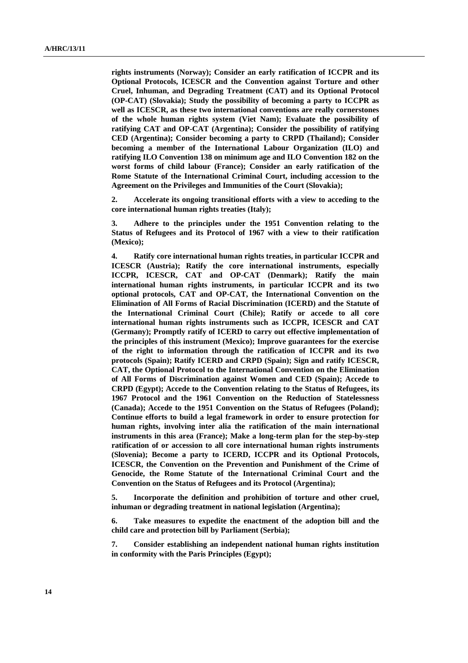**rights instruments (Norway); Consider an early ratification of ICCPR and its Optional Protocols, ICESCR and the Convention against Torture and other Cruel, Inhuman, and Degrading Treatment (CAT) and its Optional Protocol (OP-CAT) (Slovakia); Study the possibility of becoming a party to ICCPR as well as ICESCR, as these two international conventions are really cornerstones of the whole human rights system (Viet Nam); Evaluate the possibility of ratifying CAT and OP-CAT (Argentina); Consider the possibility of ratifying CED (Argentina); Consider becoming a party to CRPD (Thailand); Consider becoming a member of the International Labour Organization (ILO) and ratifying ILO Convention 138 on minimum age and ILO Convention 182 on the worst forms of child labour (France); Consider an early ratification of the Rome Statute of the International Criminal Court, including accession to the Agreement on the Privileges and Immunities of the Court (Slovakia);** 

**2. Accelerate its ongoing transitional efforts with a view to acceding to the core international human rights treaties (Italy);** 

**3. Adhere to the principles under the 1951 Convention relating to the Status of Refugees and its Protocol of 1967 with a view to their ratification (Mexico);** 

**4. Ratify core international human rights treaties, in particular ICCPR and ICESCR (Austria); Ratify the core international instruments, especially ICCPR, ICESCR, CAT and OP-CAT (Denmark); Ratify the main international human rights instruments, in particular ICCPR and its two optional protocols, CAT and OP-CAT, the International Convention on the Elimination of All Forms of Racial Discrimination (ICERD) and the Statute of the International Criminal Court (Chile); Ratify or accede to all core international human rights instruments such as ICCPR, ICESCR and CAT (Germany); Promptly ratify of ICERD to carry out effective implementation of the principles of this instrument (Mexico); Improve guarantees for the exercise of the right to information through the ratification of ICCPR and its two protocols (Spain); Ratify ICERD and CRPD (Spain); Sign and ratify ICESCR, CAT, the Optional Protocol to the International Convention on the Elimination of All Forms of Discrimination against Women and CED (Spain); Accede to CRPD (Egypt); Accede to the Convention relating to the Status of Refugees, its 1967 Protocol and the 1961 Convention on the Reduction of Statelessness (Canada); Accede to the 1951 Convention on the Status of Refugees (Poland); Continue efforts to build a legal framework in order to ensure protection for human rights, involving inter alia the ratification of the main international instruments in this area (France); Make a long-term plan for the step-by-step ratification of or accession to all core international human rights instruments (Slovenia); Become a party to ICERD, ICCPR and its Optional Protocols, ICESCR, the Convention on the Prevention and Punishment of the Crime of Genocide, the Rome Statute of the International Criminal Court and the Convention on the Status of Refugees and its Protocol (Argentina);** 

**5. Incorporate the definition and prohibition of torture and other cruel, inhuman or degrading treatment in national legislation (Argentina);** 

**6. Take measures to expedite the enactment of the adoption bill and the child care and protection bill by Parliament (Serbia);** 

**7. Consider establishing an independent national human rights institution in conformity with the Paris Principles (Egypt);**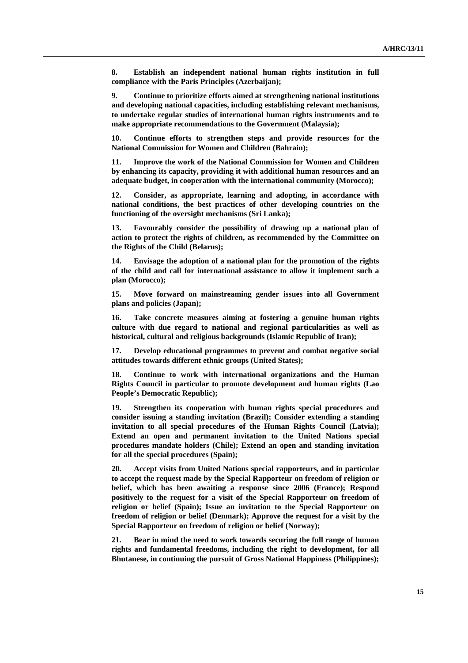**8. Establish an independent national human rights institution in full compliance with the Paris Principles (Azerbaijan);** 

**9. Continue to prioritize efforts aimed at strengthening national institutions and developing national capacities, including establishing relevant mechanisms, to undertake regular studies of international human rights instruments and to make appropriate recommendations to the Government (Malaysia);** 

**10. Continue efforts to strengthen steps and provide resources for the National Commission for Women and Children (Bahrain);** 

**11. Improve the work of the National Commission for Women and Children by enhancing its capacity, providing it with additional human resources and an adequate budget, in cooperation with the international community (Morocco);** 

**12. Consider, as appropriate, learning and adopting, in accordance with national conditions, the best practices of other developing countries on the functioning of the oversight mechanisms (Sri Lanka);** 

**13. Favourably consider the possibility of drawing up a national plan of action to protect the rights of children, as recommended by the Committee on the Rights of the Child (Belarus);** 

**14. Envisage the adoption of a national plan for the promotion of the rights of the child and call for international assistance to allow it implement such a plan (Morocco);** 

**15. Move forward on mainstreaming gender issues into all Government plans and policies (Japan);** 

**16. Take concrete measures aiming at fostering a genuine human rights culture with due regard to national and regional particularities as well as historical, cultural and religious backgrounds (Islamic Republic of Iran);** 

**17. Develop educational programmes to prevent and combat negative social attitudes towards different ethnic groups (United States);** 

**18. Continue to work with international organizations and the Human Rights Council in particular to promote development and human rights (Lao People's Democratic Republic);** 

**19. Strengthen its cooperation with human rights special procedures and consider issuing a standing invitation (Brazil); Consider extending a standing invitation to all special procedures of the Human Rights Council (Latvia); Extend an open and permanent invitation to the United Nations special procedures mandate holders (Chile); Extend an open and standing invitation for all the special procedures (Spain);** 

**20. Accept visits from United Nations special rapporteurs, and in particular to accept the request made by the Special Rapporteur on freedom of religion or belief, which has been awaiting a response since 2006 (France); Respond positively to the request for a visit of the Special Rapporteur on freedom of religion or belief (Spain); Issue an invitation to the Special Rapporteur on freedom of religion or belief (Denmark); Approve the request for a visit by the Special Rapporteur on freedom of religion or belief (Norway);** 

**21. Bear in mind the need to work towards securing the full range of human rights and fundamental freedoms, including the right to development, for all Bhutanese, in continuing the pursuit of Gross National Happiness (Philippines);**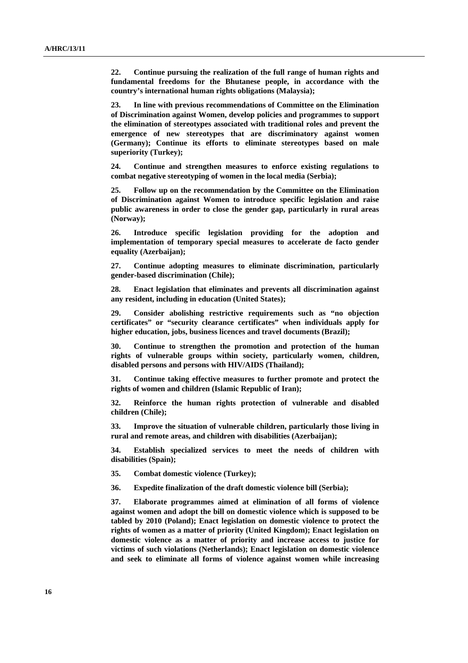**22. Continue pursuing the realization of the full range of human rights and fundamental freedoms for the Bhutanese people, in accordance with the country's international human rights obligations (Malaysia);** 

**23. In line with previous recommendations of Committee on the Elimination of Discrimination against Women, develop policies and programmes to support the elimination of stereotypes associated with traditional roles and prevent the emergence of new stereotypes that are discriminatory against women (Germany); Continue its efforts to eliminate stereotypes based on male superiority (Turkey);** 

**24. Continue and strengthen measures to enforce existing regulations to combat negative stereotyping of women in the local media (Serbia);** 

**25. Follow up on the recommendation by the Committee on the Elimination of Discrimination against Women to introduce specific legislation and raise public awareness in order to close the gender gap, particularly in rural areas (Norway);** 

**26. Introduce specific legislation providing for the adoption and implementation of temporary special measures to accelerate de facto gender equality (Azerbaijan);** 

**27. Continue adopting measures to eliminate discrimination, particularly gender-based discrimination (Chile);** 

**28. Enact legislation that eliminates and prevents all discrimination against any resident, including in education (United States);** 

**29. Consider abolishing restrictive requirements such as "no objection certificates" or "security clearance certificates" when individuals apply for higher education, jobs, business licences and travel documents (Brazil);** 

**30. Continue to strengthen the promotion and protection of the human rights of vulnerable groups within society, particularly women, children, disabled persons and persons with HIV/AIDS (Thailand);** 

**31. Continue taking effective measures to further promote and protect the rights of women and children (Islamic Republic of Iran);** 

**32. Reinforce the human rights protection of vulnerable and disabled children (Chile);** 

**33. Improve the situation of vulnerable children, particularly those living in rural and remote areas, and children with disabilities (Azerbaijan);** 

**34. Establish specialized services to meet the needs of children with disabilities (Spain);** 

**35. Combat domestic violence (Turkey);** 

**36. Expedite finalization of the draft domestic violence bill (Serbia);** 

**37. Elaborate programmes aimed at elimination of all forms of violence against women and adopt the bill on domestic violence which is supposed to be tabled by 2010 (Poland); Enact legislation on domestic violence to protect the rights of women as a matter of priority (United Kingdom); Enact legislation on domestic violence as a matter of priority and increase access to justice for victims of such violations (Netherlands); Enact legislation on domestic violence and seek to eliminate all forms of violence against women while increasing**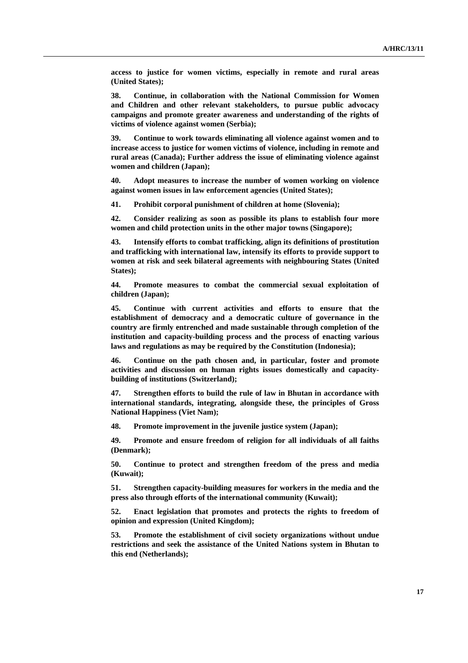**access to justice for women victims, especially in remote and rural areas (United States);** 

**38. Continue, in collaboration with the National Commission for Women and Children and other relevant stakeholders, to pursue public advocacy campaigns and promote greater awareness and understanding of the rights of victims of violence against women (Serbia);** 

**39. Continue to work towards eliminating all violence against women and to increase access to justice for women victims of violence, including in remote and rural areas (Canada); Further address the issue of eliminating violence against women and children (Japan);** 

**40. Adopt measures to increase the number of women working on violence against women issues in law enforcement agencies (United States);** 

**41. Prohibit corporal punishment of children at home (Slovenia);** 

**42. Consider realizing as soon as possible its plans to establish four more women and child protection units in the other major towns (Singapore);** 

**43. Intensify efforts to combat trafficking, align its definitions of prostitution and trafficking with international law, intensify its efforts to provide support to women at risk and seek bilateral agreements with neighbouring States (United States);** 

**44. Promote measures to combat the commercial sexual exploitation of children (Japan);** 

**45. Continue with current activities and efforts to ensure that the establishment of democracy and a democratic culture of governance in the country are firmly entrenched and made sustainable through completion of the institution and capacity-building process and the process of enacting various laws and regulations as may be required by the Constitution (Indonesia);** 

**46. Continue on the path chosen and, in particular, foster and promote activities and discussion on human rights issues domestically and capacitybuilding of institutions (Switzerland);** 

**47. Strengthen efforts to build the rule of law in Bhutan in accordance with international standards, integrating, alongside these, the principles of Gross National Happiness (Viet Nam);**

**48. Promote improvement in the juvenile justice system (Japan);** 

**49. Promote and ensure freedom of religion for all individuals of all faiths (Denmark);** 

**50. Continue to protect and strengthen freedom of the press and media (Kuwait);** 

**51. Strengthen capacity-building measures for workers in the media and the press also through efforts of the international community (Kuwait);** 

**52. Enact legislation that promotes and protects the rights to freedom of opinion and expression (United Kingdom);** 

**53. Promote the establishment of civil society organizations without undue restrictions and seek the assistance of the United Nations system in Bhutan to this end (Netherlands);**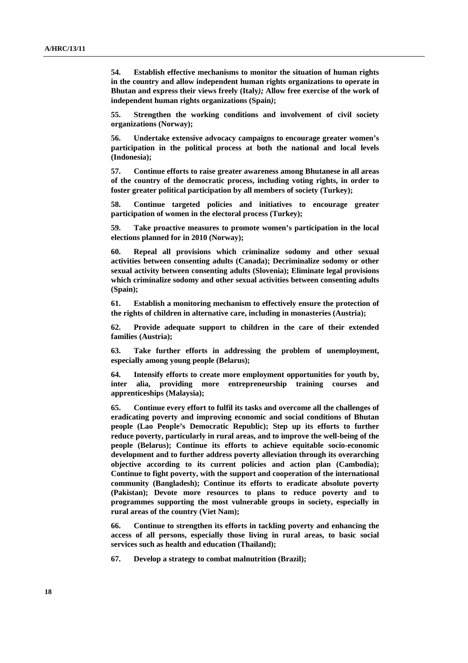**54. Establish effective mechanisms to monitor the situation of human rights in the country and allow independent human rights organizations to operate in Bhutan and express their views freely (Italy***);* **Allow free exercise of the work of independent human rights organizations (Spain***)***;** 

**55. Strengthen the working conditions and involvement of civil society organizations (Norway);** 

**56. Undertake extensive advocacy campaigns to encourage greater women's participation in the political process at both the national and local levels (Indonesia);** 

**57. Continue efforts to raise greater awareness among Bhutanese in all areas of the country of the democratic process, including voting rights, in order to foster greater political participation by all members of society (Turkey);** 

**58. Continue targeted policies and initiatives to encourage greater participation of women in the electoral process (Turkey);** 

**59. Take proactive measures to promote women's participation in the local elections planned for in 2010 (Norway);** 

**60. Repeal all provisions which criminalize sodomy and other sexual activities between consenting adults (Canada); Decriminalize sodomy or other sexual activity between consenting adults (Slovenia); Eliminate legal provisions which criminalize sodomy and other sexual activities between consenting adults (Spain);** 

**61. Establish a monitoring mechanism to effectively ensure the protection of the rights of children in alternative care, including in monasteries (Austria);** 

**62. Provide adequate support to children in the care of their extended families (Austria);** 

**63. Take further efforts in addressing the problem of unemployment, especially among young people (Belarus);** 

**64. Intensify efforts to create more employment opportunities for youth by, inter alia, providing more entrepreneurship training courses and apprenticeships (Malaysia);** 

**65. Continue every effort to fulfil its tasks and overcome all the challenges of eradicating poverty and improving economic and social conditions of Bhutan people (Lao People's Democratic Republic); Step up its efforts to further reduce poverty, particularly in rural areas, and to improve the well-being of the people (Belarus); Continue its efforts to achieve equitable socio-economic development and to further address poverty alleviation through its overarching objective according to its current policies and action plan (Cambodia); Continue to fight poverty, with the support and cooperation of the international community (Bangladesh); Continue its efforts to eradicate absolute poverty (Pakistan); Devote more resources to plans to reduce poverty and to programmes supporting the most vulnerable groups in society, especially in rural areas of the country (Viet Nam);** 

**66. Continue to strengthen its efforts in tackling poverty and enhancing the access of all persons, especially those living in rural areas, to basic social services such as health and education (Thailand);** 

**67. Develop a strategy to combat malnutrition (Brazil);**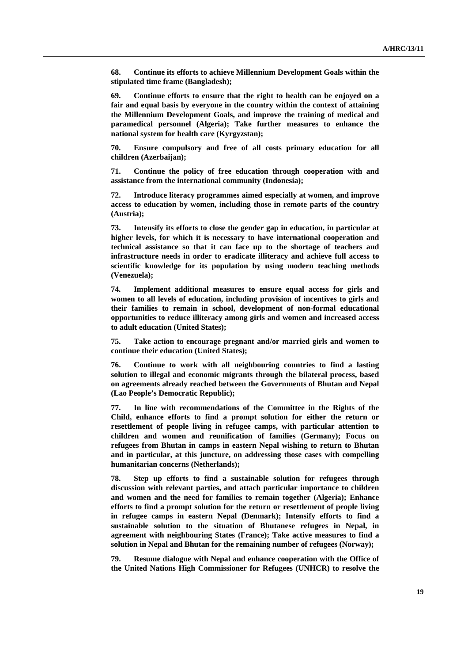**68. Continue its efforts to achieve Millennium Development Goals within the stipulated time frame (Bangladesh);** 

**69. Continue efforts to ensure that the right to health can be enjoyed on a fair and equal basis by everyone in the country within the context of attaining the Millennium Development Goals, and improve the training of medical and paramedical personnel (Algeria); Take further measures to enhance the national system for health care (Kyrgyzstan);**

**70. Ensure compulsory and free of all costs primary education for all children (Azerbaijan);** 

**71. Continue the policy of free education through cooperation with and assistance from the international community (Indonesia);** 

**72. Introduce literacy programmes aimed especially at women, and improve access to education by women, including those in remote parts of the country (Austria);** 

**73. Intensify its efforts to close the gender gap in education, in particular at higher levels, for which it is necessary to have international cooperation and technical assistance so that it can face up to the shortage of teachers and infrastructure needs in order to eradicate illiteracy and achieve full access to scientific knowledge for its population by using modern teaching methods (Venezuela);** 

**74. Implement additional measures to ensure equal access for girls and women to all levels of education, including provision of incentives to girls and their families to remain in school, development of non-formal educational opportunities to reduce illiteracy among girls and women and increased access to adult education (United States);** 

**75. Take action to encourage pregnant and/or married girls and women to continue their education (United States);** 

**76. Continue to work with all neighbouring countries to find a lasting solution to illegal and economic migrants through the bilateral process, based on agreements already reached between the Governments of Bhutan and Nepal (Lao People's Democratic Republic);** 

**77. In line with recommendations of the Committee in the Rights of the Child, enhance efforts to find a prompt solution for either the return or resettlement of people living in refugee camps, with particular attention to children and women and reunification of families (Germany); Focus on refugees from Bhutan in camps in eastern Nepal wishing to return to Bhutan and in particular, at this juncture, on addressing those cases with compelling humanitarian concerns (Netherlands);** 

**78. Step up efforts to find a sustainable solution for refugees through discussion with relevant parties, and attach particular importance to children and women and the need for families to remain together (Algeria); Enhance efforts to find a prompt solution for the return or resettlement of people living in refugee camps in eastern Nepal (Denmark); Intensify efforts to find a sustainable solution to the situation of Bhutanese refugees in Nepal, in agreement with neighbouring States (France); Take active measures to find a solution in Nepal and Bhutan for the remaining number of refugees (Norway);** 

**79. Resume dialogue with Nepal and enhance cooperation with the Office of the United Nations High Commissioner for Refugees (UNHCR) to resolve the**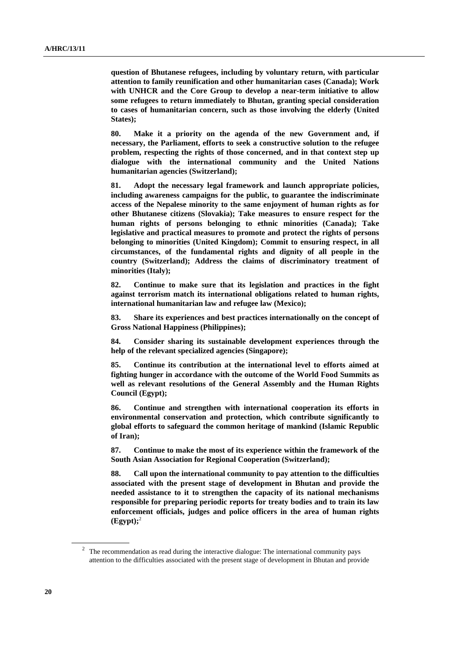**question of Bhutanese refugees, including by voluntary return, with particular attention to family reunification and other humanitarian cases (Canada); Work with UNHCR and the Core Group to develop a near-term initiative to allow some refugees to return immediately to Bhutan, granting special consideration to cases of humanitarian concern, such as those involving the elderly (United States);** 

**80. Make it a priority on the agenda of the new Government and, if necessary, the Parliament, efforts to seek a constructive solution to the refugee problem, respecting the rights of those concerned, and in that context step up dialogue with the international community and the United Nations humanitarian agencies (Switzerland);** 

**81. Adopt the necessary legal framework and launch appropriate policies, including awareness campaigns for the public, to guarantee the indiscriminate access of the Nepalese minority to the same enjoyment of human rights as for other Bhutanese citizens (Slovakia); Take measures to ensure respect for the human rights of persons belonging to ethnic minorities (Canada); Take legislative and practical measures to promote and protect the rights of persons belonging to minorities (United Kingdom); Commit to ensuring respect, in all circumstances, of the fundamental rights and dignity of all people in the country (Switzerland); Address the claims of discriminatory treatment of minorities (Italy);** 

**82. Continue to make sure that its legislation and practices in the fight against terrorism match its international obligations related to human rights, international humanitarian law and refugee law (Mexico);** 

**83. Share its experiences and best practices internationally on the concept of Gross National Happiness (Philippines);** 

**84. Consider sharing its sustainable development experiences through the help of the relevant specialized agencies (Singapore);** 

**85. Continue its contribution at the international level to efforts aimed at fighting hunger in accordance with the outcome of the World Food Summits as well as relevant resolutions of the General Assembly and the Human Rights Council (Egypt);** 

**86. Continue and strengthen with international cooperation its efforts in environmental conservation and protection, which contribute significantly to global efforts to safeguard the common heritage of mankind (Islamic Republic of Iran);** 

**87. Continue to make the most of its experience within the framework of the South Asian Association for Regional Cooperation (Switzerland);** 

**88. Call upon the international community to pay attention to the difficulties associated with the present stage of development in Bhutan and provide the needed assistance to it to strengthen the capacity of its national mechanisms responsible for preparing periodic reports for treaty bodies and to train its law enforcement officials, judges and police officers in the area of human rights**   $(Egypt);^2$ 

 $2\degree$  The recommendation as read during the interactive dialogue: The international community pays attention to the difficulties associated with the present stage of development in Bhutan and provide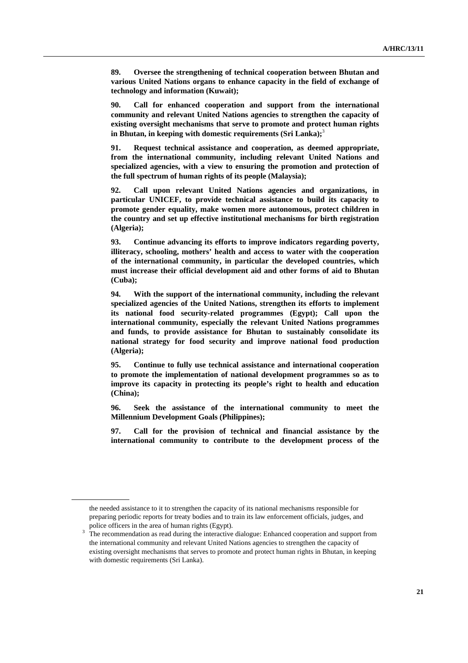**89. Oversee the strengthening of technical cooperation between Bhutan and various United Nations organs to enhance capacity in the field of exchange of technology and information (Kuwait);**

**90. Call for enhanced cooperation and support from the international community and relevant United Nations agencies to strengthen the capacity of existing oversight mechanisms that serve to promote and protect human rights in Bhutan, in keeping with domestic requirements (Sri Lanka);**<sup>3</sup>

**91. Request technical assistance and cooperation, as deemed appropriate, from the international community, including relevant United Nations and specialized agencies, with a view to ensuring the promotion and protection of the full spectrum of human rights of its people (Malaysia);** 

**92. Call upon relevant United Nations agencies and organizations, in particular UNICEF, to provide technical assistance to build its capacity to promote gender equality, make women more autonomous, protect children in the country and set up effective institutional mechanisms for birth registration (Algeria);** 

**93. Continue advancing its efforts to improve indicators regarding poverty, illiteracy, schooling, mothers' health and access to water with the cooperation of the international community, in particular the developed countries, which must increase their official development aid and other forms of aid to Bhutan (Cuba);** 

**94. With the support of the international community, including the relevant specialized agencies of the United Nations, strengthen its efforts to implement its national food security-related programmes (Egypt); Call upon the international community, especially the relevant United Nations programmes and funds, to provide assistance for Bhutan to sustainably consolidate its national strategy for food security and improve national food production (Algeria);** 

**95. Continue to fully use technical assistance and international cooperation to promote the implementation of national development programmes so as to improve its capacity in protecting its people's right to health and education (China);** 

**96. Seek the assistance of the international community to meet the Millennium Development Goals (Philippines);** 

**97. Call for the provision of technical and financial assistance by the international community to contribute to the development process of the** 

the needed assistance to it to strengthen the capacity of its national mechanisms responsible for preparing periodic reports for treaty bodies and to train its law enforcement officials, judges, and police officers in the area of human rights (Egypt).

The recommendation as read during the interactive dialogue: Enhanced cooperation and support from the international community and relevant United Nations agencies to strengthen the capacity of existing oversight mechanisms that serves to promote and protect human rights in Bhutan, in keeping with domestic requirements (Sri Lanka).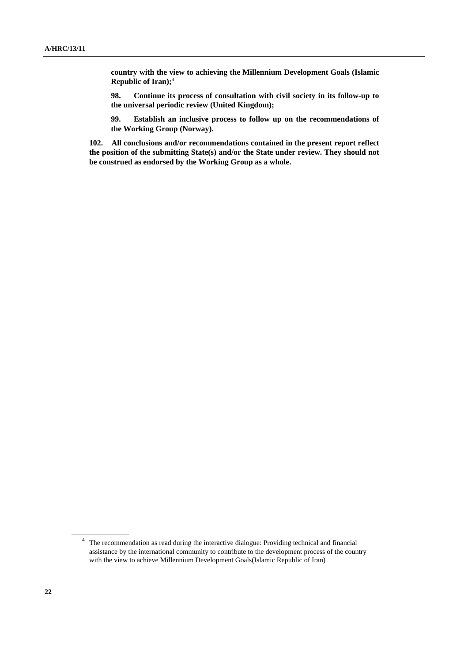**country with the view to achieving the Millennium Development Goals (Islamic Republic of Iran);**<sup>4</sup>

**98. Continue its process of consultation with civil society in its follow-up to the universal periodic review (United Kingdom);** 

**99. Establish an inclusive process to follow up on the recommendations of the Working Group (Norway).** 

**102. All conclusions and/or recommendations contained in the present report reflect the position of the submitting State(s) and/or the State under review. They should not be construed as endorsed by the Working Group as a whole.**

<sup>4</sup> The recommendation as read during the interactive dialogue: Providing technical and financial assistance by the international community to contribute to the development process of the country with the view to achieve Millennium Development Goals(Islamic Republic of Iran)